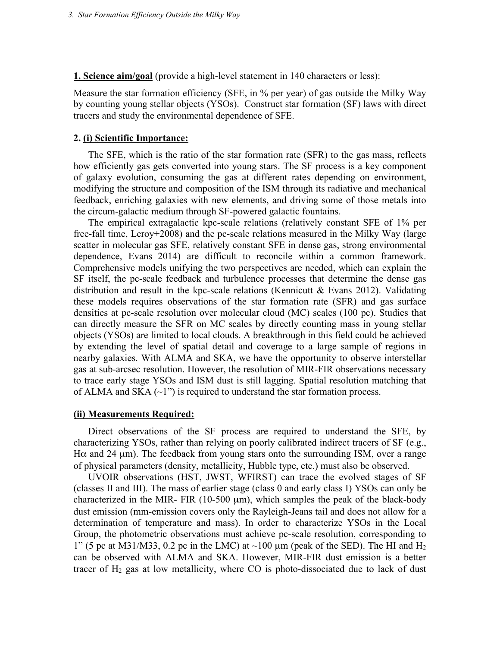**1. Science aim/goal** (provide a high-level statement in 140 characters or less):

Measure the star formation efficiency (SFE, in % per year) of gas outside the Milky Way by counting young stellar objects (YSOs). Construct star formation (SF) laws with direct tracers and study the environmental dependence of SFE.

### **2. (i) Scientific Importance:**

The SFE, which is the ratio of the star formation rate (SFR) to the gas mass, reflects how efficiently gas gets converted into young stars. The SF process is a key component of galaxy evolution, consuming the gas at different rates depending on environment, modifying the structure and composition of the ISM through its radiative and mechanical feedback, enriching galaxies with new elements, and driving some of those metals into the circum-galactic medium through SF-powered galactic fountains.

The empirical extragalactic kpc-scale relations (relatively constant SFE of 1% per free-fall time, Leroy+2008) and the pc-scale relations measured in the Milky Way (large scatter in molecular gas SFE, relatively constant SFE in dense gas, strong environmental dependence, Evans+2014) are difficult to reconcile within a common framework. Comprehensive models unifying the two perspectives are needed, which can explain the SF itself, the pc-scale feedback and turbulence processes that determine the dense gas distribution and result in the kpc-scale relations (Kennicutt & Evans 2012). Validating these models requires observations of the star formation rate (SFR) and gas surface densities at pc-scale resolution over molecular cloud (MC) scales (100 pc). Studies that can directly measure the SFR on MC scales by directly counting mass in young stellar objects (YSOs) are limited to local clouds. A breakthrough in this field could be achieved by extending the level of spatial detail and coverage to a large sample of regions in nearby galaxies. With ALMA and SKA, we have the opportunity to observe interstellar gas at sub-arcsec resolution. However, the resolution of MIR-FIR observations necessary to trace early stage YSOs and ISM dust is still lagging. Spatial resolution matching that of ALMA and SKA  $(\sim l$ ") is required to understand the star formation process.

#### **(ii) Measurements Required:**

Direct observations of the SF process are required to understand the SFE, by characterizing YSOs, rather than relying on poorly calibrated indirect tracers of SF (e.g., H $\alpha$  and 24  $\mu$ m). The feedback from young stars onto the surrounding ISM, over a range of physical parameters (density, metallicity, Hubble type, etc.) must also be observed.

UVOIR observations (HST, JWST, WFIRST) can trace the evolved stages of SF (classes II and III). The mass of earlier stage (class 0 and early class I) YSOs can only be characterized in the MIR- FIR  $(10-500 \mu m)$ , which samples the peak of the black-body dust emission (mm-emission covers only the Rayleigh-Jeans tail and does not allow for a determination of temperature and mass). In order to characterize YSOs in the Local Group, the photometric observations must achieve pc-scale resolution, corresponding to 1" (5 pc at M31/M33, 0.2 pc in the LMC) at  $\sim$ 100 µm (peak of the SED). The HI and H<sub>2</sub> can be observed with ALMA and SKA. However, MIR-FIR dust emission is a better tracer of  $H_2$  gas at low metallicity, where CO is photo-dissociated due to lack of dust